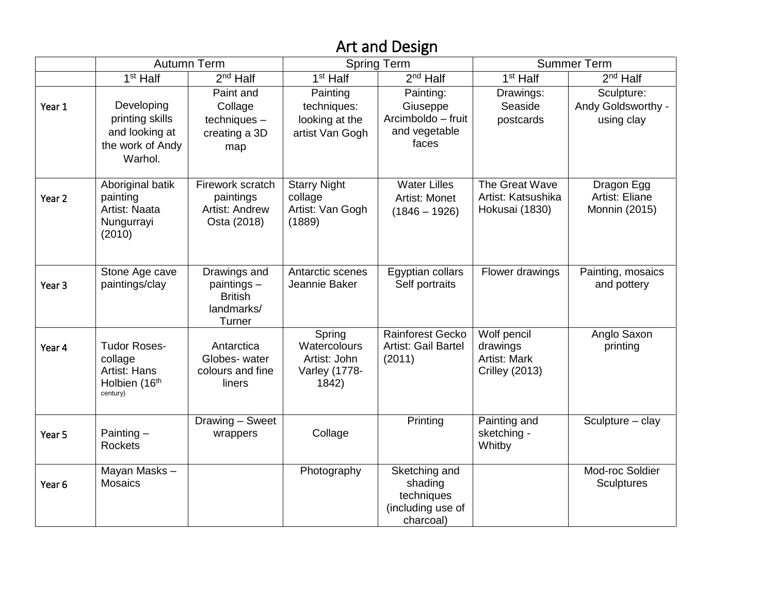## Art and Design

|                   |                                                                                | <b>Autumn Term</b>                                                    |                                                                  | <b>Spring Term</b>                                                       |                                                                         | <b>Summer Term</b>                             |
|-------------------|--------------------------------------------------------------------------------|-----------------------------------------------------------------------|------------------------------------------------------------------|--------------------------------------------------------------------------|-------------------------------------------------------------------------|------------------------------------------------|
|                   | $1st$ Half                                                                     | $2nd$ Half                                                            | $1st$ Half                                                       | $2nd$ Half                                                               | $1st$ Half                                                              | $2nd$ Half                                     |
| Year 1            | Developing<br>printing skills<br>and looking at<br>the work of Andy<br>Warhol. | Paint and<br>Collage<br>$techniques -$<br>creating a 3D<br>map        | Painting<br>techniques:<br>looking at the<br>artist Van Gogh     | Painting:<br>Giuseppe<br>Arcimboldo - fruit<br>and vegetable<br>faces    | Drawings:<br>Seaside<br>postcards                                       | Sculpture:<br>Andy Goldsworthy -<br>using clay |
| Year <sub>2</sub> | Aboriginal batik<br>painting<br>Artist: Naata<br>Nungurrayi<br>(2010)          | Firework scratch<br>paintings<br><b>Artist: Andrew</b><br>Osta (2018) | <b>Starry Night</b><br>collage<br>Artist: Van Gogh<br>(1889)     | <b>Water Lilles</b><br>Artist: Monet<br>$(1846 - 1926)$                  | The Great Wave<br>Artist: Katsushika<br>Hokusai (1830)                  | Dragon Egg<br>Artist: Eliane<br>Monnin (2015)  |
| Year <sub>3</sub> | Stone Age cave<br>paintings/clay                                               | Drawings and<br>paintings -<br><b>British</b><br>landmarks/<br>Turner | Antarctic scenes<br>Jeannie Baker                                | Egyptian collars<br>Self portraits                                       | Flower drawings                                                         | Painting, mosaics<br>and pottery               |
| Year 4            | <b>Tudor Roses-</b><br>collage<br>Artist: Hans<br>Holbien (16th<br>century)    | Antarctica<br>Globes- water<br>colours and fine<br>liners             | Spring<br>Watercolours<br>Artist: John<br>Varley (1778-<br>1842) | Rainforest Gecko<br>Artist: Gail Bartel<br>(2011)                        | Wolf pencil<br>drawings<br><b>Artist: Mark</b><br><b>Crilley (2013)</b> | Anglo Saxon<br>printing                        |
| Year 5            | Painting $-$<br><b>Rockets</b>                                                 | Drawing - Sweet<br>wrappers                                           | Collage                                                          | Printing                                                                 | Painting and<br>sketching -<br>Whitby                                   | Sculpture - clay                               |
| Year <sub>6</sub> | Mayan Masks-<br><b>Mosaics</b>                                                 |                                                                       | Photography                                                      | Sketching and<br>shading<br>techniques<br>(including use of<br>charcoal) |                                                                         | Mod-roc Soldier<br>Sculptures                  |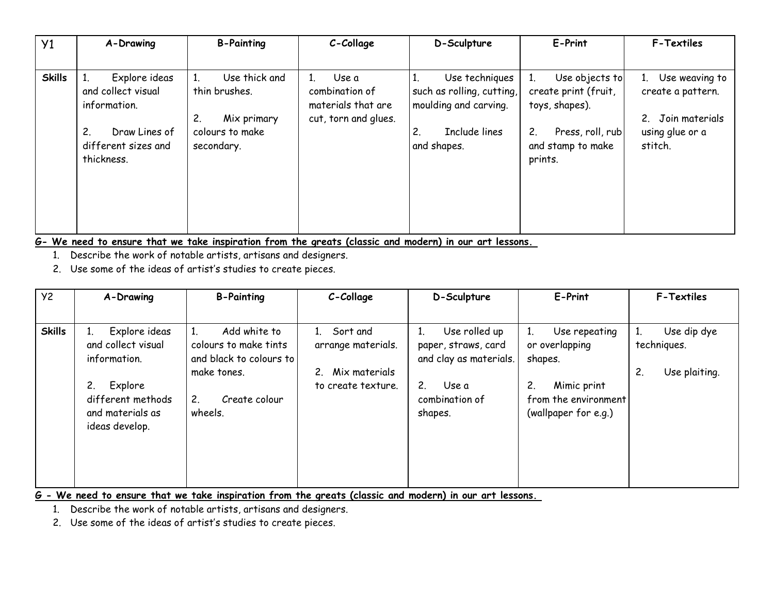| Y <sub>1</sub> | A-Drawing                                                                                                       | <b>B-Painting</b>                                                                    | C-Collage                                                             | D-Sculpture                                                                                                                | E-Print                                                                                                                              | <b>F-Textiles</b>                                                                                                       |
|----------------|-----------------------------------------------------------------------------------------------------------------|--------------------------------------------------------------------------------------|-----------------------------------------------------------------------|----------------------------------------------------------------------------------------------------------------------------|--------------------------------------------------------------------------------------------------------------------------------------|-------------------------------------------------------------------------------------------------------------------------|
|                |                                                                                                                 |                                                                                      |                                                                       |                                                                                                                            |                                                                                                                                      |                                                                                                                         |
| <b>Skills</b>  | Explore ideas<br>and collect visual<br>information.<br>2.<br>Draw Lines of<br>different sizes and<br>thickness. | Use thick and<br>thin brushes.<br>2.<br>Mix primary<br>colours to make<br>secondary. | Use a<br>combination of<br>materials that are<br>cut, torn and glues. | Use techniques<br>1.<br>such as rolling, cutting,<br>moulding and carving.<br>Include lines<br>$\mathbf{2}$<br>and shapes. | Use objects to<br>1 <sub>1</sub><br>create print (fruit,<br>toys, shapes).<br>2.<br>Press, roll, rub<br>and stamp to make<br>prints. | Use weaving to<br>1 <sup>1</sup><br>create a pattern.<br>Join materials<br>2 <sup>2</sup><br>using glue or a<br>stitch. |

**G- We need to ensure that we take inspiration from the greats (classic and modern) in our art lessons.**

1. Describe the work of notable artists, artisans and designers.

2. Use some of the ideas of artist's studies to create pieces.

| <b>Y2</b>     | A-Drawing                                                                                                                 | <b>B-Painting</b>                                                                                                 | C-Collage                                                                                | D-Sculpture                                                                                                                  | E-Print                                                                                                         | <b>F-Textiles</b>                                       |
|---------------|---------------------------------------------------------------------------------------------------------------------------|-------------------------------------------------------------------------------------------------------------------|------------------------------------------------------------------------------------------|------------------------------------------------------------------------------------------------------------------------------|-----------------------------------------------------------------------------------------------------------------|---------------------------------------------------------|
|               |                                                                                                                           |                                                                                                                   |                                                                                          |                                                                                                                              |                                                                                                                 |                                                         |
| <b>Skills</b> | Explore ideas<br>and collect visual<br>information.<br>Explore<br>different methods<br>and materials as<br>ideas develop. | Add white to<br>colours to make tints<br>and black to colours to<br>make tones.<br>2.<br>Create colour<br>wheels. | Sort and<br>$1 \quad$<br>arrange materials.<br>Mix materials<br>2.<br>to create texture. | Use rolled up<br>1.<br>paper, straws, card<br>and clay as materials.<br>2 <sup>1</sup><br>Use a<br>combination of<br>shapes. | Use repeating<br>or overlapping<br>shapes.<br>2.<br>Mimic print<br>from the environment<br>(wallpaper for e.g.) | Use dip dye<br>1.<br>techniques.<br>2.<br>Use plaiting. |

**G - We need to ensure that we take inspiration from the greats (classic and modern) in our art lessons.**

1. Describe the work of notable artists, artisans and designers.

2. Use some of the ideas of artist's studies to create pieces.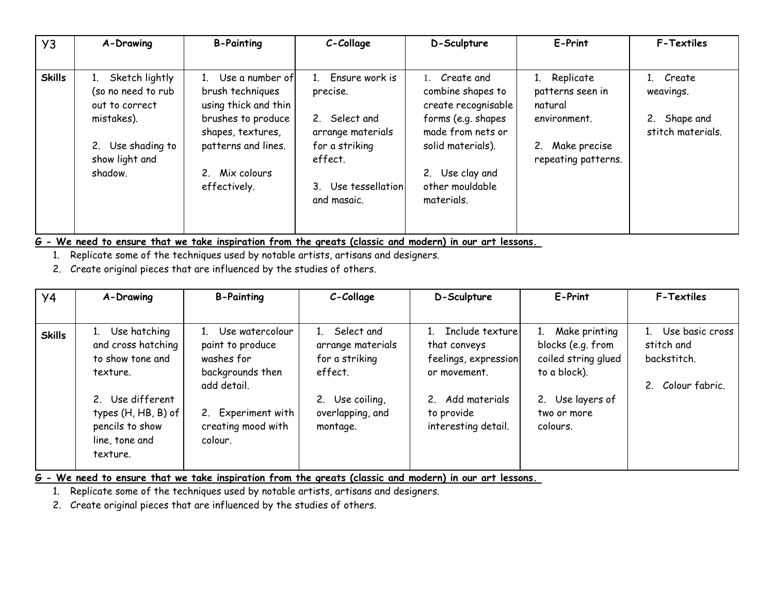| Y3            | A-Drawing                                                               | <b>B-Painting</b>                                                                                      | C-Collage                                                           | D-Sculpture                                                                                          | E-Print                                                        | <b>F-Textiles</b>                                              |
|---------------|-------------------------------------------------------------------------|--------------------------------------------------------------------------------------------------------|---------------------------------------------------------------------|------------------------------------------------------------------------------------------------------|----------------------------------------------------------------|----------------------------------------------------------------|
| <b>Skills</b> | 1. Sketch lightly<br>(so no need to rub<br>out to correct<br>mistakes). | Use a number of<br>brush techniques<br>using thick and thin<br>brushes to produce<br>shapes, textures, | 1. Ensure work is<br>precise.<br>2. Select and<br>arrange materials | 1. Create and<br>combine shapes to<br>create recognisable<br>forms (e.g. shapes<br>made from nets or | Replicate<br>1.<br>patterns seen in<br>natural<br>environment. | 1. Create<br>weavings.<br>Shape and<br>2.<br>stitch materials. |
|               | 2. Use shading to<br>show light and<br>shadow.                          | patterns and lines.<br>Mix colours<br>effectively.                                                     | for a striking<br>effect.<br>3. Use tessellation<br>and masaic.     | solid materials).<br>2. Use clay and<br>other mouldable<br>materials.                                | 2.<br>Make precise<br>repeating patterns.                      |                                                                |

**G - We need to ensure that we take inspiration from the greats (classic and modern) in our art lessons.**

1. Replicate some of the techniques used by notable artists, artisans and designers.

2. Create original pieces that are influenced by the studies of others.

| y <sub>4</sub> | A-Drawing                                                                                                          | <b>B-Painting</b>                                                                                          | C-Collage                                                                                           | D-Sculpture                                                                                               | E-Print                                                                                                         | <b>F-Textiles</b>                                              |
|----------------|--------------------------------------------------------------------------------------------------------------------|------------------------------------------------------------------------------------------------------------|-----------------------------------------------------------------------------------------------------|-----------------------------------------------------------------------------------------------------------|-----------------------------------------------------------------------------------------------------------------|----------------------------------------------------------------|
| <b>Skills</b>  | 1. Use hatching<br>and cross hatching<br>to show tone and<br>texture.<br>2. Use different<br>types $(H, HB, B)$ of | Use watercolour<br>paint to produce<br>washes for<br>backgrounds then<br>add detail.<br>2. Experiment with | Select and<br>arrange materials<br>for a striking<br>effect.<br>2. Use coiling,<br>overlapping, and | Include texture<br>that conveys<br>feelings, expression<br>or movement.<br>2. Add materials<br>to provide | 1. Make printing<br>blocks (e.g. from<br>coiled string glued<br>to a block).<br>2. Use layers of<br>two or more | Use basic cross<br>stitch and<br>backstitch.<br>Colour fabric. |
|                | pencils to show<br>line, tone and<br>texture.                                                                      | creating mood with<br>colour.                                                                              | montage.                                                                                            | interesting detail.                                                                                       | colours.                                                                                                        |                                                                |

**G - We need to ensure that we take inspiration from the greats (classic and modern) in our art lessons.**

1. Replicate some of the techniques used by notable artists, artisans and designers.

2. Create original pieces that are influenced by the studies of others.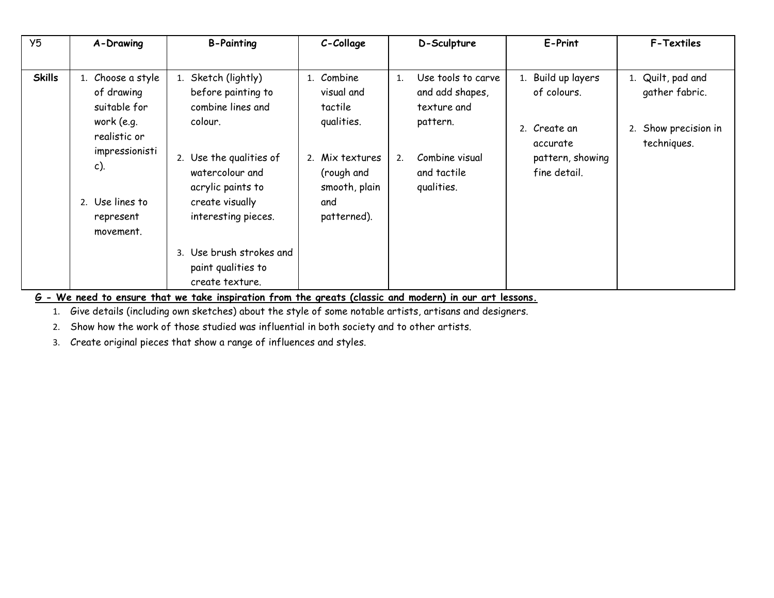| Y <sub>5</sub> | A-Drawing                                                                                                                                              | <b>B-Painting</b>                                                                                                                                                                                                                                           | C-Collage                                                                                                                 | D-Sculpture                                                                                                                 | E-Print                                                                                           | <b>F-Textiles</b>                                                          |
|----------------|--------------------------------------------------------------------------------------------------------------------------------------------------------|-------------------------------------------------------------------------------------------------------------------------------------------------------------------------------------------------------------------------------------------------------------|---------------------------------------------------------------------------------------------------------------------------|-----------------------------------------------------------------------------------------------------------------------------|---------------------------------------------------------------------------------------------------|----------------------------------------------------------------------------|
| <b>Skills</b>  | 1. Choose a style<br>of drawing<br>suitable for<br>work (e.g.<br>realistic or<br>impressionisti<br>$c)$ .<br>2. Use lines to<br>represent<br>movement. | 1. Sketch (lightly)<br>before painting to<br>combine lines and<br>colour.<br>2. Use the qualities of<br>watercolour and<br>acrylic paints to<br>create visually<br>interesting pieces.<br>3. Use brush strokes and<br>paint qualities to<br>create texture. | 1. Combine<br>visual and<br>tactile<br>qualities.<br>2. Mix textures<br>(rough and<br>smooth, plain<br>and<br>patterned). | Use tools to carve<br>1.<br>and add shapes,<br>texture and<br>pattern.<br>Combine visual<br>2.<br>and tactile<br>qualities. | 1. Build up layers<br>of colours.<br>2. Create an<br>accurate<br>pattern, showing<br>fine detail. | 1. Quilt, pad and<br>gather fabric.<br>2. Show precision in<br>techniques. |

**G - We need to ensure that we take inspiration from the greats (classic and modern) in our art lessons.** 

1. Give details (including own sketches) about the style of some notable artists, artisans and designers.

2. Show how the work of those studied was influential in both society and to other artists.

3. Create original pieces that show a range of influences and styles.